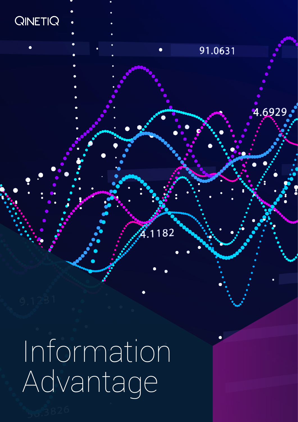

Information Advantage

91.0631

182

4.6929